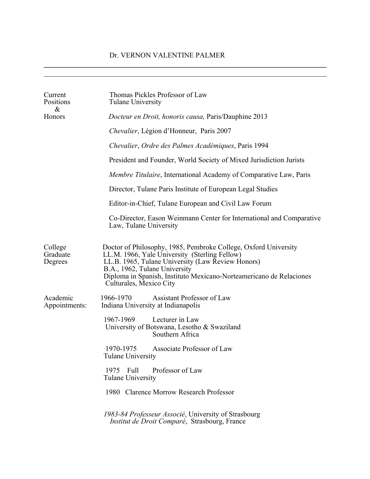$\mathcal{L}_\mathcal{L} = \{ \mathcal{L}_\mathcal{L} = \{ \mathcal{L}_\mathcal{L} = \{ \mathcal{L}_\mathcal{L} = \{ \mathcal{L}_\mathcal{L} = \{ \mathcal{L}_\mathcal{L} = \{ \mathcal{L}_\mathcal{L} = \{ \mathcal{L}_\mathcal{L} = \{ \mathcal{L}_\mathcal{L} = \{ \mathcal{L}_\mathcal{L} = \{ \mathcal{L}_\mathcal{L} = \{ \mathcal{L}_\mathcal{L} = \{ \mathcal{L}_\mathcal{L} = \{ \mathcal{L}_\mathcal{L} = \{ \mathcal{L}_\mathcal{$ 

| Current<br>Positions<br>&      | Thomas Pickles Professor of Law<br>Tulane University                                                                                                                                                                                                                                                     |
|--------------------------------|----------------------------------------------------------------------------------------------------------------------------------------------------------------------------------------------------------------------------------------------------------------------------------------------------------|
| Honors                         | Docteur en Droit, honoris causa, Paris/Dauphine 2013                                                                                                                                                                                                                                                     |
|                                | Chevalier, Légion d'Honneur, Paris 2007                                                                                                                                                                                                                                                                  |
|                                | Chevalier, Ordre des Palmes Académiques, Paris 1994                                                                                                                                                                                                                                                      |
|                                | President and Founder, World Society of Mixed Jurisdiction Jurists                                                                                                                                                                                                                                       |
|                                | <i>Membre Titulaire</i> , International Academy of Comparative Law, Paris                                                                                                                                                                                                                                |
|                                | Director, Tulane Paris Institute of European Legal Studies                                                                                                                                                                                                                                               |
|                                | Editor-in-Chief, Tulane European and Civil Law Forum                                                                                                                                                                                                                                                     |
|                                | Co-Director, Eason Weinmann Center for International and Comparative<br>Law, Tulane University                                                                                                                                                                                                           |
| College<br>Graduate<br>Degrees | Doctor of Philosophy, 1985, Pembroke College, Oxford University<br>LL.M. 1966, Yale University (Sterling Fellow)<br>LL.B. 1965, Tulane University (Law Review Honors)<br>B.A., 1962, Tulane University<br>Diploma in Spanish, Instituto Mexicano-Norteamericano de Relaciones<br>Culturales, Mexico City |
| Academic<br>Appointments:      | 1966-1970<br>Assistant Professor of Law<br>Indiana University at Indianapolis                                                                                                                                                                                                                            |
|                                | 1967-1969<br>Lecturer in Law<br>University of Botswana, Lesotho & Swaziland<br>Southern Africa                                                                                                                                                                                                           |
|                                | Associate Professor of Law<br>1970-1975<br>Tulane University                                                                                                                                                                                                                                             |
|                                | Professor of Law<br>1975 Full<br><b>Tulane University</b>                                                                                                                                                                                                                                                |
|                                | 1980 Clarence Morrow Research Professor                                                                                                                                                                                                                                                                  |
|                                | 1983-84 Professeur Associé, University of Strasbourg<br>Institut de Droit Comparé, Strasbourg, France                                                                                                                                                                                                    |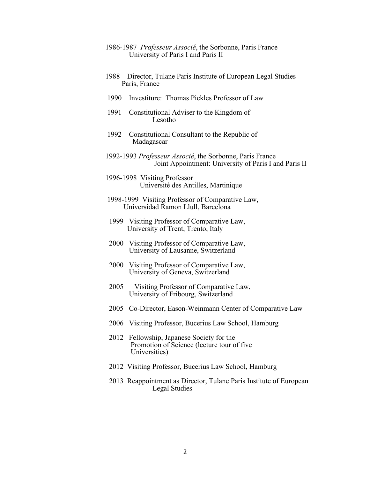## 1986-1987 *Professeur Associé*, the Sorbonne, Paris France University of Paris I and Paris II

- 1988 Director, Tulane Paris Institute of European Legal Studies Paris, France
- 1990 Investiture: Thomas Pickles Professor of Law
- 1991 Constitutional Adviser to the Kingdom of Lesotho
- 1992 Constitutional Consultant to the Republic of Madagascar
- 1992-1993 *Professeur Associé*, the Sorbonne, Paris France Joint Appointment: University of Paris I and Paris II
- 1996-1998 Visiting Professor Université des Antilles, Martinique
- 1998-1999 Visiting Professor of Comparative Law, Universidad Ramon Llull, Barcelona
- 1999 Visiting Professor of Comparative Law, University of Trent, Trento, Italy
- 2000 Visiting Professor of Comparative Law, University of Lausanne, Switzerland
- 2000 Visiting Professor of Comparative Law, University of Geneva, Switzerland
- 2005 Visiting Professor of Comparative Law, University of Fribourg, Switzerland
- 2005 Co-Director, Eason-Weinmann Center of Comparative Law
- 2006 Visiting Professor, Bucerius Law School, Hamburg
- 2012 Fellowship, Japanese Society for the Promotion of Science (lecture tour of five Universities)
- 2012 Visiting Professor, Bucerius Law School, Hamburg
- 2013 Reappointment as Director, Tulane Paris Institute of European Legal Studies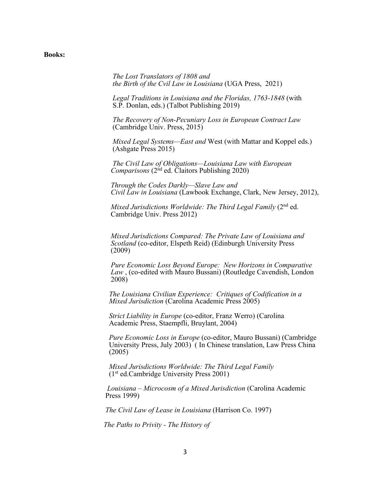## **Books:**

 *The Lost Translators of 1808 and the Birth of the Cvil Law in Louisiana* (UGA Press, 2021)

 *Legal Traditions in Louisiana and the Floridas, 1763-1848* (with S.P. Donlan, eds.) (Talbot Publishing 2019)

 *The Recovery of Non-Pecuniary Loss in European Contract Law*  (Cambridge Univ. Press, 2015)

 *Mixed Legal Systems—East and* West (with Mattar and Koppel eds.) (Ashgate Press 2015)

*The Civil Law of Obligations—Louisiana Law with European Comparisons* (2<sup>nd</sup> ed. Claitors Publishing 2020)

*Through the Codes Darkly—Slave Law and Civil Law in Louisiana* (Lawbook Exchange, Clark, New Jersey, 2012),

 *Mixed Jurisdictions Worldwide: The Third Legal Family* (2nd ed. Cambridge Univ. Press 2012)

 *Mixed Jurisdictions Compared: The Private Law of Louisiana and Scotland* (co-editor, Elspeth Reid) (Edinburgh University Press (2009)

*Pure Economic Loss Beyond Europe: New Horizons in Comparative Law*, (co-edited with Mauro Bussani) (Routledge Cavendish, London 2008)

*The Louisiana Civilian Experience: Critiques of Codification in a Mixed Jurisdiction* (Carolina Academic Press 2005)

*Strict Liability in Europe* (co-editor, Franz Werro) (Carolina Academic Press, Staempfli, Bruylant, 2004)

*Pure Economic Loss in Europe* (co-editor, Mauro Bussani) (Cambridge University Press, July 2003) ( In Chinese translation, Law Press China (2005)

*Mixed Jurisdictions Worldwide: The Third Legal Family*  (1st ed.Cambridge University Press 2001)

*Louisiana – Microcosm of a Mixed Jurisdiction* (Carolina Academic Press 1999)

*The Civil Law of Lease in Louisiana* (Harrison Co. 1997)

 *The Paths to Privity - The History of*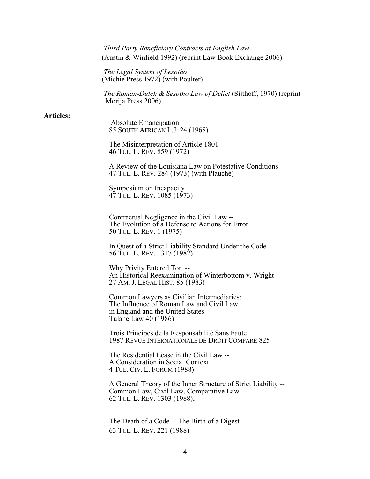*Third Party Beneficiary Contracts at English Law* (Austin & Winfield 1992) (reprint Law Book Exchange 2006)

*The Legal System of Lesotho* (Michie Press 1972) (with Poulter)

 *The Roman-Dutch & Sesotho Law of Delict* (Sijthoff, 1970) (reprint Morija Press 2006)

## **Articles:**

 Absolute Emancipation 85 SOUTH AFRICAN L.J. 24 (1968)

The Misinterpretation of Article 1801 46 TUL. L. REV. 859 (1972)

A Review of the Louisiana Law on Potestative Conditions 47 TUL. L. REV. 284 (1973) (with Plauché)

Symposium on Incapacity 47 TUL. L. REV. 1085 (1973)

Contractual Negligence in the Civil Law -- The Evolution of a Defense to Actions for Error 50 TUL. L. REV. 1 (1975)

In Quest of a Strict Liability Standard Under the Code 56 TUL. L. REV. 1317 (1982)

Why Privity Entered Tort --<br>An Historical Reexamination of Winterbottom v. Wright 27 AM. J. LEGAL HIST. 85 (1983)

Common Lawyers as Civilian Intermediaries: The Influence of Roman Law and Civil Law in England and the United States Tulane Law 40 (1986)

Trois Principes de la Responsabilité Sans Faute 1987 REVUE INTERNATIONALE DE DROIT COMPARE 825

The Residential Lease in the Civil Law -- A Consideration in Social Context 4 TUL. CIV. L. FORUM (1988)

A General Theory of the Inner Structure of Strict Liability -- Common Law, Civil Law, Comparative Law 62 TUL. L. REV. 1303 (1988);

The Death of a Code -- The Birth of a Digest 63 TUL. L. REV. 221 (1988)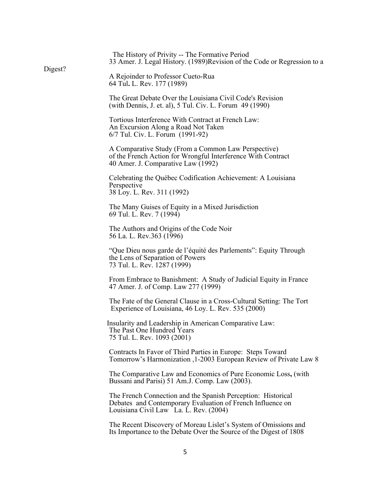| Digest? | The History of Privity -- The Formative Period<br>33 Amer. J. Legal History. (1989)Revision of the Code or Regression to a                                           |
|---------|----------------------------------------------------------------------------------------------------------------------------------------------------------------------|
|         | A Rejoinder to Professor Cueto-Rua<br>64 Tul. L. Rev. 177 (1989)                                                                                                     |
|         | The Great Debate Over the Louisiana Civil Code's Revision<br>(with Dennis, J. et. al), 5 Tul. Civ. L. Forum 49 (1990)                                                |
|         | Tortious Interference With Contract at French Law:<br>An Excursion Along a Road Not Taken<br>6/7 Tul. Civ. L. Forum (1991-92)                                        |
|         | A Comparative Study (From a Common Law Perspective)<br>of the French Action for Wrongful Interference With Contract<br>40 Amer. J. Comparative Law (1992)            |
|         | Celebrating the Québec Codification Achievement: A Louisiana<br>Perspective<br>38 Loy. L. Rev. 311 (1992)                                                            |
|         | The Many Guises of Equity in a Mixed Jurisdiction<br>69 Tul. L. Rev. 7 (1994)                                                                                        |
|         | The Authors and Origins of the Code Noir<br>56 La. L. Rev.363 (1996)                                                                                                 |
|         | "Que Dieu nous garde de l'équité des Parlements": Equity Through<br>the Lens of Separation of Powers<br>73 Tul. L. Rev. 1287 (1999)                                  |
|         | From Embrace to Banishment: A Study of Judicial Equity in France<br>47 Amer. J. of Comp. Law 277 (1999)                                                              |
|         | The Fate of the General Clause in a Cross-Cultural Setting: The Tort<br>Experience of Louisiana, 46 Loy. L. Rev. 535 (2000)                                          |
|         | Insularity and Leadership in American Comparative Law:<br>The Past One Hundred Years<br>75 Tul. L. Rev. 1093 (2001)                                                  |
|         | Contracts In Favor of Third Parties in Europe: Steps Toward<br>Tomorrow's Harmonization, 1-2003 European Review of Private Law 8                                     |
|         | The Comparative Law and Economics of Pure Economic Loss, (with<br>Bussani and Parisi) 51 Am.J. Comp. Law (2003).                                                     |
|         | The French Connection and the Spanish Perception: Historical<br>Debates and Contemporary Evaluation of French Influence on<br>Louisiana Civil Law La. L. Rev. (2004) |
|         | The Recent Discovery of Moreau Lislet's System of Omissions and<br>Its Importance to the Debate Over the Source of the Digest of 1808                                |
|         |                                                                                                                                                                      |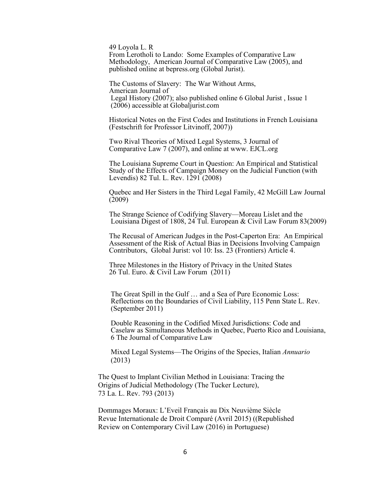49 Loyola L. R From Lerotholi to Lando: Some Examples of Comparative Law Methodology, American Journal of Comparative Law (2005), and published online at bepress.org (Global Jurist).

 The Customs of Slavery: The War Without Arms, American Journal of Legal History (2007); also published online 6 Global Jurist , Issue 1 (2006) accessible at Globaljurist.com

 Historical Notes on the First Codes and Institutions in French Louisiana (Festschrift for Professor Litvinoff, 2007))

 Two Rival Theories of Mixed Legal Systems, 3 Journal of Comparative Law 7 (2007), and online at www. EJCL.org

 The Louisiana Supreme Court in Question: An Empirical and Statistical Study of the Effects of Campaign Money on the Judicial Function (with Levendis) 82 Tul. L. Rev. 1291 (2008)

 Quebec and Her Sisters in the Third Legal Family, 42 McGill Law Journal  $(2009)$ 

 The Strange Science of Codifying Slavery—Moreau Lislet and the Louisiana Digest of 1808, 24 Tul. European & Civil Law Forum 83(2009)

 The Recusal of American Judges in the Post-Caperton Era: An Empirical Assessment of the Risk of Actual Bias in Decisions Involving Campaign Contributors, Global Jurist: vol 10: Iss. 23 (Frontiers) Article 4.

Three Milestones in the History of Privacy in the United States 26 Tul. Euro. & Civil Law Forum (2011)

 The Great Spill in the Gulf … and a Sea of Pure Economic Loss: Reflections on the Boundaries of Civil Liability, 115 Penn State L. Rev. (September 2011)

 Double Reasoning in the Codified Mixed Jurisdictions: Code and Caselaw as Simultaneous Methods in Quebec, Puerto Rico and Louisiana, 6 The Journal of Comparative Law

 Mixed Legal Systems—The Origins of the Species, Italian *Annuario* (2013)

 The Quest to Implant Civilian Method in Louisiana: Tracing the Origins of Judicial Methodology (The Tucker Lecture), 73 La. L. Rev. 793 (2013)

 Dommages Moraux: L'Eveil Français au Dix Neuvième Siècle Revue Internationale de Droit Comparé (Avril 2015) ((Republished Review on Contemporary Civil Law (2016) in Portuguese)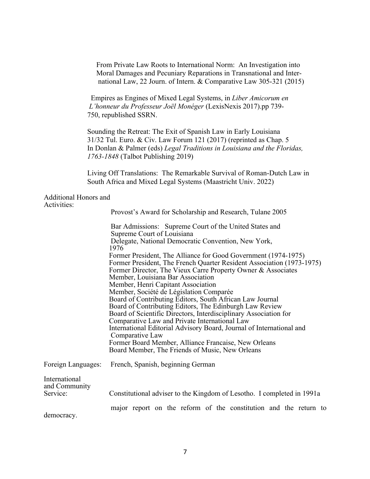From Private Law Roots to International Norm: An Investigation into Moral Damages and Pecuniary Reparations in Transnational and Inter national Law, 22 Journ. of Intern. & Comparative Law 305-321 (2015)

 Empires as Engines of Mixed Legal Systems, in *Liber Amicorum en L'honneur du Professeur Joël Monéger* (LexisNexis 2017).pp 739- 750, republished SSRN.

 Sounding the Retreat: The Exit of Spanish Law in Early Louisiana 31/32 Tul. Euro. & Civ. Law Forum 121 (2017) (reprinted as Chap. 5 In Donlan & Palmer (eds) *Legal Traditions in Louisiana and the Floridas, 1763-1848* (Talbot Publishing 2019)

 Living Off Translations: The Remarkable Survival of Roman-Dutch Law in South Africa and Mixed Legal Systems (Maastricht Univ. 2022)

## Additional Honors and Activities:

|                                | Provost's Award for Scholarship and Research, Tulane 2005                                                                                                                                                                                                                                                                                                                                                                                                                                                                       |
|--------------------------------|---------------------------------------------------------------------------------------------------------------------------------------------------------------------------------------------------------------------------------------------------------------------------------------------------------------------------------------------------------------------------------------------------------------------------------------------------------------------------------------------------------------------------------|
|                                | Bar Admissions: Supreme Court of the United States and<br>Supreme Court of Louisiana<br>Delegate, National Democratic Convention, New York,                                                                                                                                                                                                                                                                                                                                                                                     |
|                                | 1976<br>Former President, The Alliance for Good Government (1974-1975)<br>Former President, The French Quarter Resident Association (1973-1975)<br>Former Director, The Vieux Carre Property Owner & Associates<br>Member, Louisiana Bar Association                                                                                                                                                                                                                                                                            |
|                                | Member, Henri Capitant Association<br>Member, Société de Législation Comparée<br>Board of Contributing Editors, South African Law Journal<br>Board of Contributing Editors, The Edinburgh Law Review<br>Board of Scientific Directors, Interdisciplinary Association for<br>Comparative Law and Private International Law<br>International Editorial Advisory Board, Journal of International and<br>Comparative Law<br>Former Board Member, Alliance Francaise, New Orleans<br>Board Member, The Friends of Music, New Orleans |
| Foreign Languages:             | French, Spanish, beginning German                                                                                                                                                                                                                                                                                                                                                                                                                                                                                               |
| International<br>and Community |                                                                                                                                                                                                                                                                                                                                                                                                                                                                                                                                 |
| Service:                       | Constitutional adviser to the Kingdom of Lesotho. I completed in 1991a                                                                                                                                                                                                                                                                                                                                                                                                                                                          |
| democracy.                     | major report on the reform of the constitution and the return to                                                                                                                                                                                                                                                                                                                                                                                                                                                                |